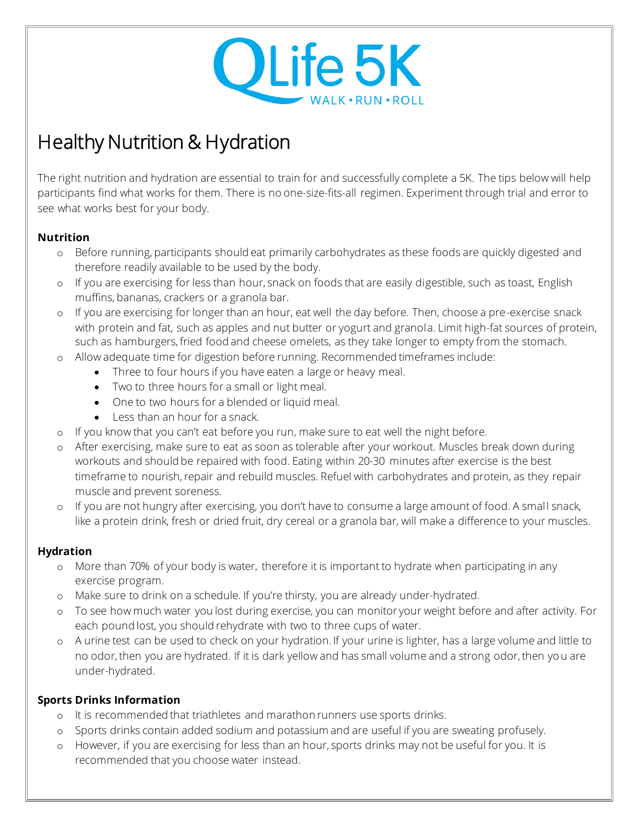

# Healthy Nutrition & Hydration

The right nutrition and hydration are essential to train for and successfully complete a 5K. The tips below will help participants find what works for them. There is no one-size-fits-all regimen. Experiment through trial and error to see what works best for your body.

## **Nutrition**

- o Before running, participants should eat primarily carbohydrates as these foods are quickly digested and therefore readily available to be used by the body.
- o If you are exercising for less than hour, snack on foods that are easily digestible, such as toast, English muffins, bananas, crackers or a granola bar.
- o If you are exercising for longer than an hour, eat well the day before. Then, choose a pre-exercise snack with protein and fat, such as apples and nut butter or yogurt and granola. Limit high-fat sources of protein, such as hamburgers, fried food and cheese omelets, as they take longer to empty from the stomach.
- o Allow adequate time for digestion before running. Recommended timeframes include:
	- Three to four hours if you have eaten a large or heavy meal.
	- Two to three hours for a small or light meal.
	- One to two hours for a blended or liquid meal.
	- Less than an hour for a snack.
- o If you know that you can't eat before you run, make sure to eat well the night before.
- o After exercising, make sure to eat as soon as tolerable after your workout. Muscles break down during workouts and should be repaired with food. Eating within 20-30 minutes after exercise is the best timeframe to nourish, repair and rebuild muscles. Refuel with carbohydrates and protein, as they repair muscle and prevent soreness.
- o If you are not hungry after exercising, you don't have to consume a large amount of food. A small snack, like a protein drink, fresh or dried fruit, dry cereal or a granola bar, will make a difference to your muscles.

### **Hydration**

- o More than 70% of your body is water, therefore it is important to hydrate when participating in any exercise program.
- o Make sure to drink on a schedule. If you're thirsty, you are already under-hydrated.
- o To see how much water you lost during exercise, you can monitor your weight before and after activity. For each pound lost, you should rehydrate with two to three cups of water.
- o A urine test can be used to check on your hydration. If your urine is lighter, has a large volume and little to no odor, then you are hydrated. If it is dark yellow and has small volume and a strong odor, then yo u are under-hydrated.

## **Sports Drinks Information**

- o It is recommended that triathletes and marathon runners use sports drinks.
- o Sports drinks contain added sodium and potassium and are useful if you are sweating profusely.
- o However, if you are exercising for less than an hour, sports drinks may not be useful for you. It is recommended that you choose water instead.